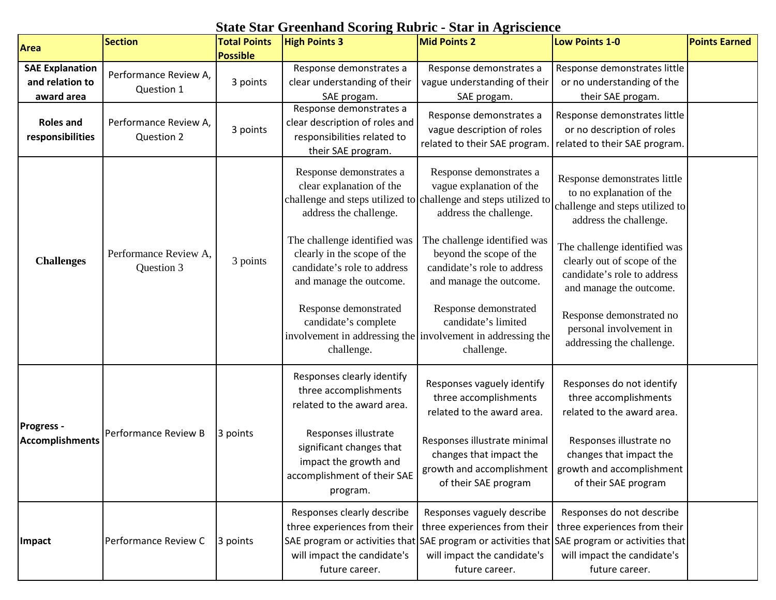## **State Star Greenhand Scoring Rubric - Star in Agriscience**

| Area                                                    | <b>Section</b>                      | <b>Total Points</b>         | <b>High Points 3</b>                                                                                                  | <b>Mid Points 2</b>                                                                                                                                                          | Low Points 1-0                                                                                                                               | <b>Points Earned</b> |
|---------------------------------------------------------|-------------------------------------|-----------------------------|-----------------------------------------------------------------------------------------------------------------------|------------------------------------------------------------------------------------------------------------------------------------------------------------------------------|----------------------------------------------------------------------------------------------------------------------------------------------|----------------------|
| <b>SAE Explanation</b><br>and relation to<br>award area | Performance Review A,<br>Question 1 | <b>Possible</b><br>3 points | Response demonstrates a<br>clear understanding of their<br>SAE progam.                                                | Response demonstrates a<br>vague understanding of their<br>SAE progam.                                                                                                       | Response demonstrates little<br>or no understanding of the<br>their SAE progam.                                                              |                      |
| <b>Roles and</b><br>responsibilities                    | Performance Review A,<br>Question 2 | 3 points                    | Response demonstrates a<br>clear description of roles and<br>responsibilities related to<br>their SAE program.        | Response demonstrates a<br>vague description of roles<br>related to their SAE program.                                                                                       | Response demonstrates little<br>or no description of roles<br>related to their SAE program.                                                  |                      |
|                                                         |                                     |                             | Response demonstrates a<br>clear explanation of the<br>address the challenge.                                         | Response demonstrates a<br>vague explanation of the<br>challenge and steps utilized to challenge and steps utilized to<br>address the challenge.                             | Response demonstrates little<br>to no explanation of the<br>challenge and steps utilized to<br>address the challenge.                        |                      |
| <b>Challenges</b>                                       | Performance Review A,<br>Question 3 | 3 points                    | The challenge identified was<br>clearly in the scope of the<br>candidate's role to address<br>and manage the outcome. | The challenge identified was<br>beyond the scope of the<br>candidate's role to address<br>and manage the outcome.                                                            | The challenge identified was<br>clearly out of scope of the<br>candidate's role to address<br>and manage the outcome.                        |                      |
|                                                         |                                     |                             | Response demonstrated<br>candidate's complete<br>challenge.                                                           | Response demonstrated<br>candidate's limited<br>involvement in addressing the involvement in addressing the<br>challenge.                                                    | Response demonstrated no<br>personal involvement in<br>addressing the challenge.                                                             |                      |
|                                                         |                                     |                             | Responses clearly identify<br>three accomplishments<br>related to the award area.                                     | Responses vaguely identify<br>three accomplishments<br>related to the award area.                                                                                            | Responses do not identify<br>three accomplishments<br>related to the award area.                                                             |                      |
| <b>Progress -</b><br><b>Accomplishments</b>             | <b>Performance Review B</b>         | 3 points                    | Responses illustrate<br>significant changes that<br>impact the growth and<br>accomplishment of their SAE<br>program.  | Responses illustrate minimal<br>changes that impact the<br>of their SAE program                                                                                              | Responses illustrate no<br>changes that impact the<br>growth and accomplishment   growth and accomplishment  <br>of their SAE program        |                      |
| Impact                                                  | Performance Review C                | 3 points                    | Responses clearly describe<br>three experiences from their<br>will impact the candidate's<br>future career.           | Responses vaguely describe<br>three experiences from their<br>SAE program or activities that SAE program or activities that<br>will impact the candidate's<br>future career. | Responses do not describe<br>three experiences from their<br>SAE program or activities that<br>will impact the candidate's<br>future career. |                      |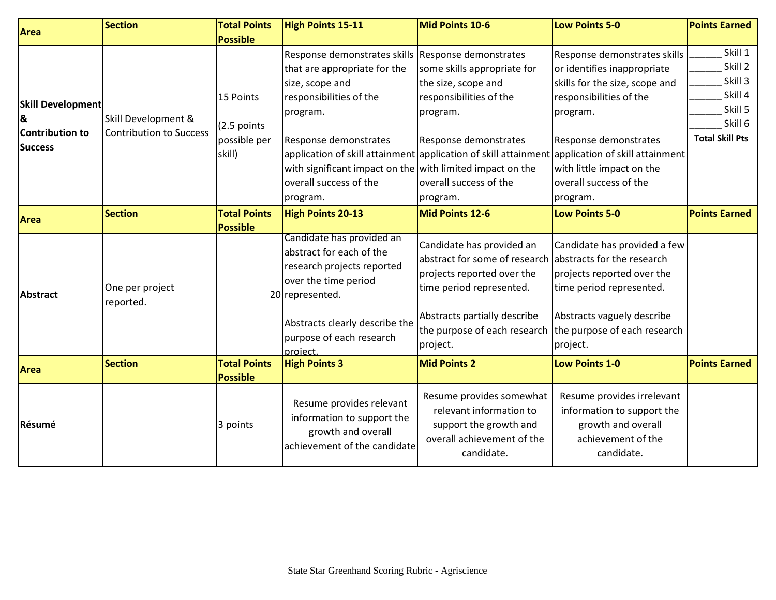| <b>Area</b>                                                        | <b>Section</b>                                        | <b>Total Points</b>                                | <b>High Points 15-11</b>                                                                                                                                                                                                                           | Mid Points 10-6                                                                                                                                                                                  | <b>Low Points 5-0</b>                                                                                                                                                                                                                                                                                                               | <b>Points Earned</b>                                                                     |
|--------------------------------------------------------------------|-------------------------------------------------------|----------------------------------------------------|----------------------------------------------------------------------------------------------------------------------------------------------------------------------------------------------------------------------------------------------------|--------------------------------------------------------------------------------------------------------------------------------------------------------------------------------------------------|-------------------------------------------------------------------------------------------------------------------------------------------------------------------------------------------------------------------------------------------------------------------------------------------------------------------------------------|------------------------------------------------------------------------------------------|
|                                                                    |                                                       | <b>Possible</b>                                    |                                                                                                                                                                                                                                                    |                                                                                                                                                                                                  |                                                                                                                                                                                                                                                                                                                                     |                                                                                          |
| <b>Skill Development</b><br>8<br>Contribution to<br><b>Success</b> | Skill Development &<br><b>Contribution to Success</b> | 15 Points<br>(2.5 points<br>possible per<br>skill) | Response demonstrates skills<br>that are appropriate for the<br>size, scope and<br>responsibilities of the<br>program.<br>Response demonstrates<br>with significant impact on the with limited impact on the<br>overall success of the<br>program. | Response demonstrates<br>some skills appropriate for<br>the size, scope and<br>responsibilities of the<br>program.<br>Response demonstrates<br>overall success of the<br>program.                | Response demonstrates skills<br>or identifies inappropriate<br>skills for the size, scope and<br>responsibilities of the<br>program.<br>Response demonstrates<br>application of skill attainment application of skill attainment application of skill attainment<br>with little impact on the<br>overall success of the<br>program. | Skill 1<br>Skill 2<br>Skill 3<br>Skill 4<br>Skill 5<br>Skill 6<br><b>Total Skill Pts</b> |
| <b>Area</b>                                                        | <b>Section</b>                                        | <b>Total Points</b><br><b>Possible</b>             | <b>High Points 20-13</b>                                                                                                                                                                                                                           | Mid Points 12-6                                                                                                                                                                                  | Low Points 5-0                                                                                                                                                                                                                                                                                                                      | <b>Points Earned</b>                                                                     |
| <b>Abstract</b>                                                    | One per project<br>reported.                          |                                                    | Candidate has provided an<br>abstract for each of the<br>research projects reported<br>over the time period<br>20 represented.<br>Abstracts clearly describe the<br>purpose of each research<br>project.                                           | Candidate has provided an<br>abstract for some of research<br>projects reported over the<br>time period represented.<br>Abstracts partially describe<br>the purpose of each research<br>project. | Candidate has provided a few<br>abstracts for the research<br>projects reported over the<br>time period represented.<br>Abstracts vaguely describe<br>the purpose of each research<br>project.                                                                                                                                      |                                                                                          |
| <b>Area</b>                                                        | <b>Section</b>                                        | <b>Total Points</b><br><b>Possible</b>             | <b>High Points 3</b>                                                                                                                                                                                                                               | <b>Mid Points 2</b>                                                                                                                                                                              | <b>Low Points 1-0</b>                                                                                                                                                                                                                                                                                                               | <b>Points Earned</b>                                                                     |
| Résumé                                                             |                                                       | 3 points                                           | Resume provides relevant<br>information to support the<br>growth and overall<br>achievement of the candidate                                                                                                                                       | Resume provides somewhat<br>relevant information to<br>support the growth and<br>overall achievement of the<br>candidate.                                                                        | Resume provides irrelevant<br>information to support the<br>growth and overall<br>achievement of the<br>candidate.                                                                                                                                                                                                                  |                                                                                          |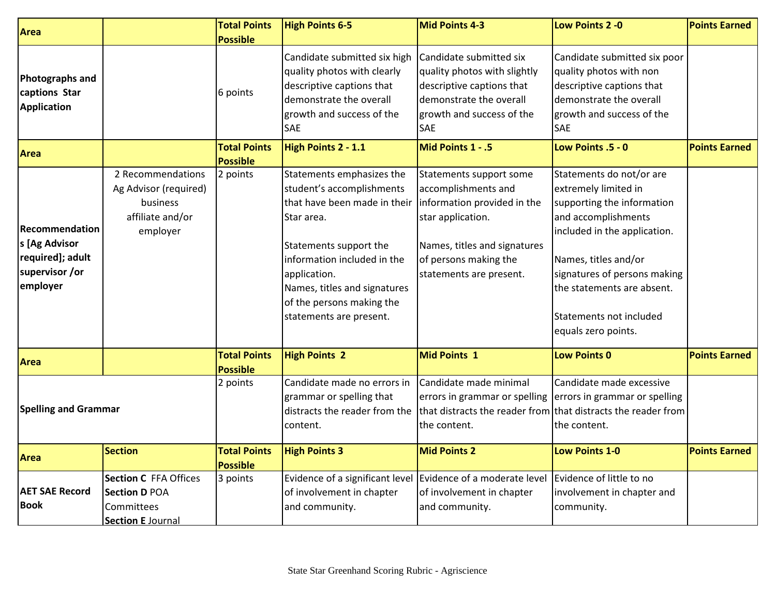| Area                                                                              |                                                                                                | <b>Total Points</b><br><b>Possible</b> | <b>High Points 6-5</b>                                                                                                                                                                                                                                                | <b>Mid Points 4-3</b>                                                                                                                                                                  | Low Points 2 - 0                                                                                                                                                                                                                                                              | <b>Points Earned</b> |
|-----------------------------------------------------------------------------------|------------------------------------------------------------------------------------------------|----------------------------------------|-----------------------------------------------------------------------------------------------------------------------------------------------------------------------------------------------------------------------------------------------------------------------|----------------------------------------------------------------------------------------------------------------------------------------------------------------------------------------|-------------------------------------------------------------------------------------------------------------------------------------------------------------------------------------------------------------------------------------------------------------------------------|----------------------|
| <b>Photographs and</b><br>captions Star<br><b>Application</b>                     |                                                                                                | 6 points                               | Candidate submitted six high<br>quality photos with clearly<br>descriptive captions that<br>demonstrate the overall<br>growth and success of the<br>SAE                                                                                                               | Candidate submitted six<br>quality photos with slightly<br>descriptive captions that<br>demonstrate the overall<br>growth and success of the<br>SAE                                    | Candidate submitted six poor<br>quality photos with non<br>descriptive captions that<br>demonstrate the overall<br>growth and success of the<br>SAE                                                                                                                           |                      |
| <b>Area</b>                                                                       |                                                                                                | <b>Total Points</b><br><b>Possible</b> | High Points 2 - 1.1                                                                                                                                                                                                                                                   | Mid Points 1 - .5                                                                                                                                                                      | Low Points .5 - 0                                                                                                                                                                                                                                                             | <b>Points Earned</b> |
| Recommendation<br>s [Ag Advisor<br>required]; adult<br>supervisor /or<br>employer | 2 Recommendations<br>Ag Advisor (required)<br>business<br>affiliate and/or<br>employer         | 2 points                               | Statements emphasizes the<br>student's accomplishments<br>that have been made in their<br>Star area.<br>Statements support the<br>information included in the<br>application.<br>Names, titles and signatures<br>of the persons making the<br>statements are present. | Statements support some<br>accomplishments and<br>information provided in the<br>star application.<br>Names, titles and signatures<br>of persons making the<br>statements are present. | Statements do not/or are<br>extremely limited in<br>supporting the information<br>and accomplishments<br>included in the application.<br>Names, titles and/or<br>signatures of persons making<br>the statements are absent.<br>Statements not included<br>equals zero points. |                      |
| <b>Area</b>                                                                       |                                                                                                | <b>Total Points</b><br><b>Possible</b> | <b>High Points 2</b>                                                                                                                                                                                                                                                  | <b>Mid Points 1</b>                                                                                                                                                                    | <b>Low Points 0</b>                                                                                                                                                                                                                                                           | <b>Points Earned</b> |
| <b>Spelling and Grammar</b>                                                       |                                                                                                | 2 points                               | Candidate made no errors in<br>grammar or spelling that<br>distracts the reader from the<br>content.                                                                                                                                                                  | Candidate made minimal<br>errors in grammar or spelling errors in grammar or spelling<br>the content.                                                                                  | Candidate made excessive<br>that distracts the reader from that distracts the reader from<br>the content.                                                                                                                                                                     |                      |
| <b>Area</b>                                                                       | <b>Section</b>                                                                                 | <b>Total Points</b><br><b>Possible</b> | <b>High Points 3</b>                                                                                                                                                                                                                                                  | <b>Mid Points 2</b>                                                                                                                                                                    | <b>Low Points 1-0</b>                                                                                                                                                                                                                                                         | <b>Points Earned</b> |
| <b>AET SAE Record</b><br><b>Book</b>                                              | <b>Section C FFA Offices</b><br><b>Section D POA</b><br>Committees<br><b>Section E Journal</b> | 3 points                               | of involvement in chapter<br>and community.                                                                                                                                                                                                                           | Evidence of a significant level Evidence of a moderate level Evidence of little to no<br>of involvement in chapter<br>and community.                                                   | involvement in chapter and<br>community.                                                                                                                                                                                                                                      |                      |